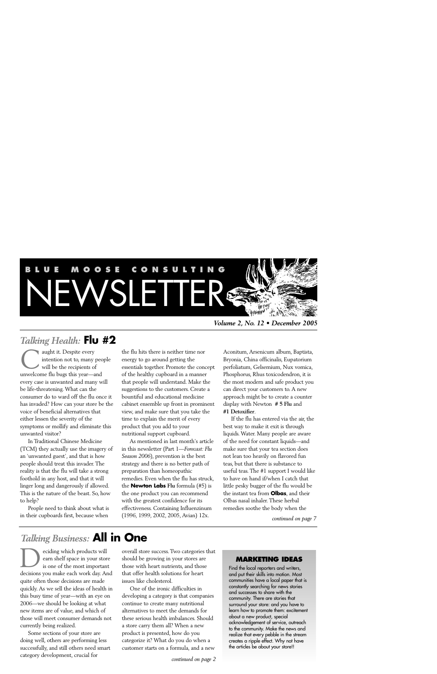# **BLUE MOOSE CONSULT** WSLETTER &

*Volume 2, No. 12 • December 2005*

# *Talking Health:* **Flu #2**

aught it. Despite every intention not to, many people will be the recipients of aught it. Despite every<br>intention not to, many pec<br>will be the recipients of<br>unwelcome flu bugs this year—and every case is unwanted and many will be life-threatening. What can the consumer do to ward off the flu once it has invaded? How can your store be the voice of beneficial alternatives that either lessen the severity of the symptoms or mollify and eliminate this unwanted visitor?

In Traditional Chinese Medicine (TCM) they actually use the imagery of an 'unwanted guest', and that is how people should treat this invader. The reality is that the flu will take a strong foothold in any host, and that it will linger long and dangerously if allowed. This is the nature of the beast. So, how to help?

People need to think about what is in their cupboards first, because when

the flu hits there is neither time nor energy to go around getting the essentials together. Promote the concept of the healthy cupboard in a manner that people will understand. Make the suggestions to the customers. Create a bountiful and educational medicine cabinet ensemble up front in prominent view, and make sure that you take the time to explain the merit of every product that you add to your nutritional support cupboard.

As mentioned in last month's article in this newsletter (Part 1—*Forecast: Flu Season 2006*), prevention is the best strategy and there is no better path of preparation than homeopathic remedies. Even when the flu has struck, the **Newton Labs Flu** formula (#5) is the one product you can recommend with the greatest confidence for its effectiveness. Containing Influenzinum (1996, 1999, 2002, 2005, Avian) 12x.

Aconitum, Arsenicum album, Baptista, Bryonia, China officinalis, Eupatorium perfoliatum, Gelsemium, Nux vomica, Phosphorus, Rhus toxicodendron, it is the most modern and safe product you can direct your customers to. A new approach might be to create a counter display with Newton **# 5 Flu** and **#1 Detoxifier**.

If the flu has entered via the air, the best way to make it exit is through liquids. Water. Many people are aware of the need for constant liquids—and make sure that your tea section does not lean too heavily on flavored fun teas, but that there is substance to useful teas. The #1 support I would like to have on hand if/when I catch that little pesky bugger of the flu would be the instant tea from **Olbas**, and their Olbas nasal inhaler. These herbal remedies soothe the body when the

*continued on page 7*

# *Talking Business:* **All in One**

eciding which products will earn shelf space in your store is one of the most important eciding which products will<br>
earn shelf space in your store<br>
is one of the most important<br>
decisions you make each work day. And quite often those decisions are made quickly. As we sell the ideas of health in this busy time of year—with an eye on 2006—we should be looking at what new items are of value, and which of those will meet consumer demands not currently being realized.

Some sections of your store are doing well, others are performing less successfully, and still others need smart category development, crucial for

overall store success. Two categories that should be growing in your stores are those with heart nutrients, and those that offer health solutions for heart issues like cholesterol.

One of the ironic difficulties in developing a category is that companies continue to create many nutritional alternatives to meet the demands for these serious health imbalances. Should a store carry them all? When a new product is presented, how do you categorize it? What do you do when a customer starts on a formula, and a new

#### **MARKETING IDEAS**

Find the local reporters and writers, and put their skills into motion. Most communities have a local paper that is constantly searching for news stories and successes to share with the community. There are stories that surround your store: and you have to learn how to promote them: excitement about a new product, special acknowledgement of service, outreach to the community. Make the news and realize that every pebble in the stream creates a ripple effect. Why not have the articles be about your store!!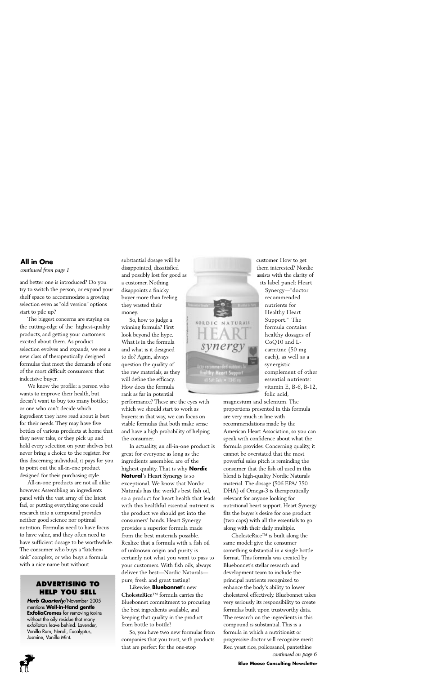# **All in One**

*continued from page 1*

and better one is introduced? Do you try to switch the person, or expand your shelf space to accommodate a growing selection even as "old version" options start to pile up?

The biggest concerns are staying on the cutting-edge of the highest-quality products, and getting your customers excited about them. As product selection evolves and expands, we see a new class of therapeutically designed formulas that meet the demands of one of the most difficult consumers: that indecisive buyer.

We know the profile: a person who wants to improve their health, but doesn't want to buy too many bottles; or one who can't decide which ingredient they have read about is best for their needs. They may have five bottles of various products at home that they never take, or they pick up and hold every selection on your shelves but never bring a choice to the register. For this discerning individual, it pays for you to point out the all-in-one product designed for their purchasing style.

All-in-one products are not all alike however. Assembling an ingredients panel with the vast array of the latest fad, or putting everything one could research into a compound provides neither good science nor optimal nutrition. Formulas need to have focus to have value, and they often need to have sufficient dosage to be worthwhile. The consumer who buys a "kitchensink" complex, or who buys a formula with a nice name but without

# **ADVERTISING TO HELP YOU SELL**

*Herb Quarterly*/November 2005 mentions **Well-in-Hand gentle ExfoliaCremes** for removing toxins without the oily residue that many exfoliators leave behind. Lavender, Vanilla Rum, Neroli, Eucalyptus, Jasmine, Vanilla Mint.

substantial dosage will be disappointed, dissatisfied and possibly lost for good as a customer. Nothing disappoints a finicky buyer more than feeling they wasted their money.

So, how to judge a winning formula? First look beyond the hype. What is in the formula and what is it designed to do? Again, always question the quality of the raw materials, as they will define the efficacy. How does the formula rank as far in potential

performance? These are the eyes with which we should start to work as buyers: in that way, we can focus on viable formulas that both make sense and have a high probability of helping the consumer.

In actuality, an all-in-one product is great for everyone as long as the ingredients assembled are of the highest quality. That is why **Nordic Natural**'s **Heart Synergy** is so exceptional. We know that Nordic Naturals has the world's best fish oil, so a product for heart health that leads with this healthful essential nutrient is the product we should get into the consumers' hands. Heart Synergy provides a superior formula made from the best materials possible. Realize that a formula with a fish oil of unknown origin and purity is certainly not what you want to pass to your customers. With fish oils, always deliver the best—Nordic Naturals pure, fresh and great tasting!

Likewise, **Bluebonnet**'s new **CholesteRice**™ formula carries the Bluebonnet commitment to procuring the best ingredients available, and keeping that quality in the product from bottle to bottle!

So, you have two new formulas from companies that you trust, with products that are perfect for the one-stop



customer. How to get them interested? Nordic assists with the clarity of its label panel: Heart

> Synergy—"doctor recommended nutrients for Healthy Heart Support." The formula contains healthy dosages of CoQ10 and Lcarnitine (50 mg each), as well as a synergistic complement of other essential nutrients: vitamin E, B-6, B-12, folic acid,

magnesium and selenium. The proportions presented in this formula are very much in line with recommendations made by the American Heart Association, so you can speak with confidence about what the formula provides. Concerning quality, it cannot be overstated that the most powerful sales pitch is reminding the consumer that the fish oil used in this blend is high-quality Nordic Naturals material. The dosage (506 EPA/ 350 DHA) of Omega-3 is therapeutically relevant for anyone looking for nutritional heart support. Heart Synergy fits the buyer's desire for one product (two caps) with all the essentials to go along with their daily multiple.

CholesteRice™ is built along the same model: give the consumer something substantial in a single bottle format. This formula was created by Bluebonnet's stellar research and development team to include the principal nutrients recognized to enhance the body's ability to lower cholesterol effectively. Bluebonnet takes very seriously its responsibility to create formulas built upon trustworthy data. The research on the ingredients in this compound is substantial. This is a formula in which a nutritionist or progressive doctor will recognize merit. Red yeast rice, policosanol, pantethine *continued on page 6*

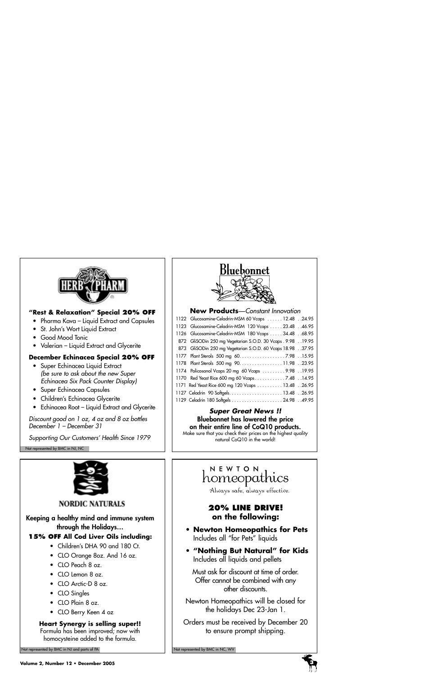

# **"Rest & Relaxation" Special 20% OFF**

- Pharma Kava Liquid Extract and Capsules
- St. John's Wort Liquid Extract
- Good Mood Tonic
- Valerian Liquid Extract and Glycerite

# **December Echinacea Special 20% OFF**

- Super Echinacea Liquid Extract *(be sure to ask about the new Super Echinacea Six Pack Counter Display)*
- Super Echinacea Capsules
- Children's Echinacea Glycerite
- Echinacea Root Liquid Extract and Glycerite

*Discount good on 1 oz, 4 oz and 8 oz bottles December 1 – December 31*

*Supporting Our Customers' Health Since 1979*

Not represented by BMC in NJ, NC



**NORDIC NATURALS** 

**Keeping a healthy mind and immune system through the Holidays…**

# **15% OFF All Cod Liver Oils including:**

- Children's DHA 90 and 180 Ct.
- CLO Orange 8oz. And 16 oz.
- CLO Peach 8 oz.
- CLO Lemon 8 oz.
- CLO Arctic-D 8 oz.
- CLO Singles
- CLO Plain 8 oz.
- CLO Berry Keen 4 oz

# **Heart Synergy is selling super!!**

Formula has been improved; now with homocysteine added to the formula.

Not represented by BMC in NJ and parts of PA Not represented by BMC in NC, WV Not represented by BMC in NC, WV



# **New Products**—*Constant Innovation*

| 1122 Glucosamine-Celadrin-MSM 60 Vcaps  12.48 24.95         |
|-------------------------------------------------------------|
| 1123 Glucosamine-Celadrin-MSM 120 Vcaps  23.48 46.95        |
| 1126 Glucosamine-Celadrin-MSM 180 Vcaps 34.48 68.95         |
| 872 GliSODin 250 mg Vegetarian S.O.D. 30 Vcaps . 9.98 19.95 |
| 873 GliSODin 250 mg Vegetarian S.O.D. 60 Vcaps 18.9837.95   |
| 1177 Plant Sterols 500 mg 60. 7.98 15.95                    |
| 1178 Plant Sterols 500 mg 90. 11.98 23.95                   |
| 1174 Policosanol Vcaps 20 mg 60 Vcaps  9.98 19.95           |
| 1170 Red Yeast Rice 600 mg 60 Vcaps7.48 14.95               |
| 1171 Red Yeast Rice 600 mg 120 Vcaps 13.48 26.95            |
|                                                             |
|                                                             |

# *Super Great News !!* **Bluebonnet has lowered the price on their entire line of CoQ10 products.**

Make sure that you check their prices on the highest quality natural CoQ10 in the world!

# NEWTON homeopathics

Always safe, always effective.

# **20% LINE DRIVE! on the following:**

- **Newton Homeopathics for Pets**  Includes all "for Pets" liquids
- **"Nothing But Natural" for Kids** Includes all liquids and pellets

Must ask for discount at time of order. Offer cannot be combined with any other discounts.

Newton Homeopathics will be closed for the holidays Dec 23-Jan 1.

Orders must be received by December 20 to ensure prompt shipping.

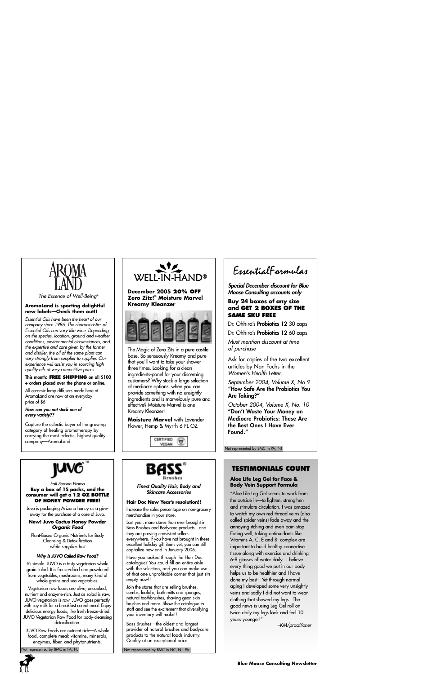

*The Essence of Well-Being®*

#### **AromaLand is sporting delightful new labels—Check them out!!**

*Essential Oils have been the heart of our company since 1986. The characteristics of Essential Oils can vary like wine. Depending on the species, location, ground and weather conditions, environmental circumstances, and the expertise and care given by the farmer and distiller, the oil of the same plant can vary strongly from supplier to supplier. Our experience will assist you in sourcing high quality oils at very competitive prices.*

#### **This month: FREE SHIPPING on all \$100 + orders placed over the phone or online.**

All ceramic lamp diffusers made here at AromaLand are now at an everyday price of \$6

#### *How can you not stock one of every variety??*

Capture the eclectic buyer of the growing category of healing aromatherapy by carrying the most eclectic, highest quality company—AromaLand



**December 2005 20% OFF Zero Zitz!® Moisture Marvel Kreamy Kleanzer**



The Magic of Zero Zits in a pure castile base. So sensuously Kreamy and pure that you'll want to take your shower three times. Looking for a clean ingredients-panel for your discerning customers? Why stock a large selection of mediocre options, when you can provide something with no unsightly ingredients and is marvelously pure and effective? Moisture Marvel is one Kreamy Kleanzer!

**Moisture Marvel** with Lavender Flower, Hemp & Myrrh 6 FL OZ





#### *Fall Season Promo* **Buy a box of 15 packs, and the consumer will get a 12 OZ BOTTLE OF HONEY POWDER FREE!**

Juvo is packaging Arizona honey as a giveaway for the purchase of a case of Juvo.

#### **New! Juvo Cactus Honey Powder** *Organic Food*

Plant-Based Organic Nutrients for Body Cleansing & Detoxification *while supplies last*

#### *Why Is JUVO Called Raw Food?*

It's simple. JUVO is a tasty vegetarian whole grain salad. It is freeze-dried and powdered from vegetables, mushrooms, many kind of whole grains and sea vegetables.

Vegetarian raw foods are alive; uncooked, nutrient and enzyme-rich. Just as salad is raw, JUVO vegetarian is raw. JUVO goes perfectly with soy milk for a breakfast cereal meal. Enjoy delicious energy foods, like fresh freeze-dried JUVO Vegetarian Raw Food for body-cleansing detoxification.

JUVO Raw Foods are nutrient rich—A whole food, complete meal: vitamins, minerals, enzymes, fiber, and phytonutrients.

lot represented by BMC in PA, NJ





*Finest Quality Hair, Body and Skincare Accessories*

#### **Hair Doc New Year's resolution!!**

Increase the sales percentage on non-grocery merchandise in your store.

Last year, more stores than ever brought in Bass Brushes and Bodycare products…and they are proving consistent sellers everywhere. If you have not brought in these excellent holiday gift items yet, you can still capitalize now and in January 2006.

Have you looked through the Hair Doc catalogue? You could fill an entire aisle with the selection, and you can make use of that one unprofitable corner that just sits empty now!!

Join the stores that are selling brushes, combs, loofahs, bath mitts and sponges, natural toothbrushes, shaving gear, skin brushes and more. Show the catalogue to staff and see the excitement that diversifying your inventory will make!!

Bass Brushes—the oldest and largest provider of natural brushes and bodycare products to the natural foods industry. Quality at an exceptional price.

Not represented by BMC in NC, NJ, PA

EssentialFormulas

*Special December discount for Blue Moose Consulting accounts only*

#### **Buy 24 boxes of any size and GET 2 BOXES OF THE SAME SKU FREE**

Dr. Ohhira's **Probiotics 12** 30 caps

Dr. Ohhira's **Probiotics 12** 60 caps

*Must mention discount at time of purchase*

Ask for copies of the two excellent articles by Nan Fuchs in the *Women's Health Letter*.

*September 2004, Volume X, No 9* **"How Safe Are the Probiotics You Are Taking?"**

*October 2004, Volume X, No. 10* **"Don't Waste Your Money on Mediocre Probiotics: These Are the Best Ones I Have Ever Found."**

Not represented by BMC in PA, NJ

# **TESTIMONIALS COUNT**

#### **Aloe Life Leg Gel for Face & Body Vein Support Formula**

"Aloe Life Leg Gel seems to work from the outside in—to lighten, strengthen and stimulate circulation. I was amazed to watch my own red thread veins (also called spider veins) fade away and the annoying itching and even pain stop. Eating well, taking antioxidants like Vitamins A, C, E and B- complex are important to build healthy connective tissue along with exercise and drinking 6-8 glasses of water daily. I believe every thing good we put in our body helps us to be healthier and I have done my best! Yet through normal aging I developed some very unsightly veins and sadly I did not want to wear clothing that showed my legs. The good news is using Leg Gel roll-on twice daily my legs look and feel 10 years younger!"

*–KM/practitioner*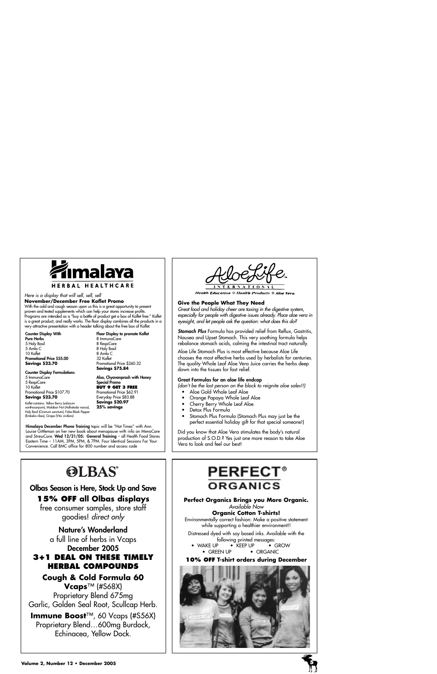

#### *Here is a display that will sell, sell, sell*  **November/December Free Koflet Promo**

With the cold and cough season upon us this is a great opportunity to present proven and tested supplements which can help your stores increase profits. Programs are intended as a "buy a bottle of product get a box of Koflet free." Koflet is a great product, and really works. The floor display combines all the products in a very attractive presentation with a header talking about the free box of Koflet.

**Counter Display With Pure Herbs** 5 Holy Basil 5 Amla C 10 Koflet **Promotional Price \$55.00 Savings \$23.70**

**Floor Display to promote Koflet** 8 ImmunoCare 8 RespiCare 8 Holy Basil 8 Amla C 32 Koflet Promotional Price \$260.32 **Savings \$75.84**

#### **Counter Display Formulations**

5 ImmunoCare 5 RespiCare 10 Koflet Promotional Price \$107.70 **Savings \$23.70**

**25% savings** Koflet contains: Yellow Berry (solanum xanthocarpum), Malabar Nut (Adhatoda vasica), Holy Basil (Ocimum sanctum), False Black Pepper (Embelia ribes), Grape (Vitis vinifera)

**Also, Chyavanprash with Honey Special Promo BUY 9 GET 3 FREE** Promotional Price \$62.91 Everyday Price \$83.88 **Savings \$20.97** 

**Himalaya December Phone Training** topic will be "Hot Times" with Ann Louise Gittleman on her new book about menopause with info on MenoCare and StressCare. **Wed 12/21/05: General Training** – all Health Food Stores Eastern Time – 11AM, 3PM, 5PM, & 7PM. Four Identical Sessions For Your Convenience. Call BMC office for 800 number and access code

**Health Education : Health Products : Aloe Vera** 

#### **Give the People What They Need**

*Great food and holiday cheer are taxing in the digestive system, especially for people with digestive issues already. Place aloe vera in eyesight, and let people ask the question: what does this do?*

*Stomach Plus* Formula has provided relief from Reflux, Gastritis, Nausea and Upset Stomach. This very soothing formula helps rebalance stomach acids, calming the intestinal tract naturally.

Aloe Life Stomach Plus is most effective because Aloe Life chooses the most effective herbs used by herbalists for centuries. The quality Whole Leaf Aloe Vera Juice carries the herbs deep down into the tissues for fast relief.

#### **Great Formulas for an aloe life endcap**

*(don't be the last person on the block to reignite aloe sales!!)*

- Aloe Gold Whole Leaf Aloe
- Orange Papaya Whole Leaf Aloe
- Cherry Berry Whole Leaf Aloe
- Detox Plus Formula
- Stomach Plus Formula (Stomach Plus may just be the perfect essential holiday gift for that special someone!)

Did you know that Aloe Vera stimulates the body's natural production of S.O.D.? Yes just one more reason to take Aloe Vera to look and feel our best!

# **OLBAS®**

# **Olbas Season is Here, Stock Up and Save 15% OFF all Olbas displays**

free consumer samples, store staff goodies! *direct only*

## **Nature's Wonderland**

a full line of herbs in Vcaps **December 2005** 

# **3+1 DEAL ON THESE TIMELY HERBAL COMPOUNDS**

# **Cough & Cold Formula 60 Vcaps**™ (#S68X) Proprietary Blend 675mg Garlic, Golden Seal Root, Scullcap Herb.

**Immune Boost**™, 60 Vcaps (#S56X) Proprietary Blend…600mg Burdock, Echinacea, Yellow Dock.

# **PERFECT® ORGANICS**

**Perfect Organics Brings you More Organic.**

*Available Now*

#### **Organic Cotton T-shirts!**

Environmentally correct fashion: Make a positive statement while supporting a healthier environment!!

Distressed dyed with soy based inks. Available with the following printed messages:<br>P • KEEP UP • GROW

• WAKE UP • KEEP UP • GREEN UP • ORGANIC

#### **10% OFF T-shirt orders during December**

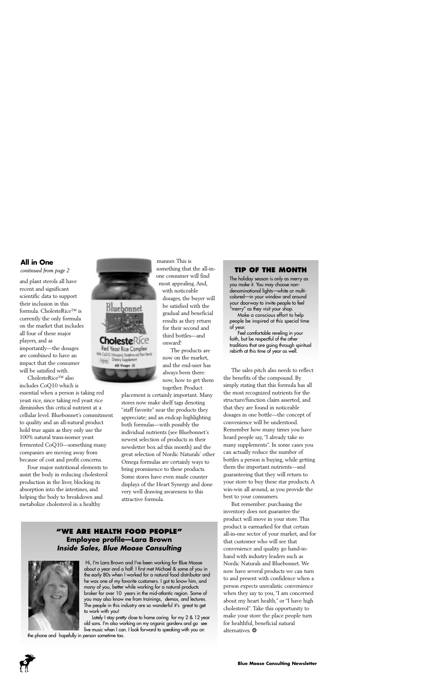# **All in One**

and plant sterols all have recent and significant scientific data to support their inclusion in this formula. CholesteRice™ is currently the only formula on the market that includes all four of these major players, and as importantly—the dosages are combined to have an impact that the consumer will be satisfied with.

CholesteRice™ also includes CoQ10 which is

essential when a person is taking red yeast rice, since taking red yeast rice diminishes this critical nutrient at a cellular level. Bluebonnet's commitment to quality and an all-natural product hold true again as they only use the 100% natural trans-isomer yeast fermented CoQ10—something many companies are moving away from because of cost and profit concerns.

Four major nutritional elements to assist the body in reducing cholesterol production in the liver, blocking its absorption into the intestines, and helping the body to breakdown and metabolize cholesterol in a healthy



manner. This is something that the all-inone consumer will find most appealing. And,

with noticeable dosages, the buyer will be satisfied with the gradual and beneficial results as they return for their second and third bottles—and onward!

The products are now on the market, and the end-user has always been there: now, how to get them together. Product

placement is certainly important. Many stores now make shelf tags denoting "staff favorite" near the products they appreciate; and an endcap highlighting both formulas—with possibly the individual nutrients (see Bluebonnet's newest selection of products in their newsletter box ad this month) and the great selection of Nordic Naturals' other Omega formulas are certainly ways to bring prominence to these products. Some stores have even made counter displays of the Heart Synergy and done very well drawing awareness to this attractive formula.

# **"WE ARE HEALTH FOOD PEOPLE" Employee profile—Lara Brown** *Inside Sales, Blue Moose Consulting*



Hi, I'm Lara Brown and I've been working for Blue Moose about a year and a half. I first met Michael & some of you in the early 80s when I worked for a natural food distributor and he was one of my favorite customers. I got to know him, and many of you, better while working for a natural products broker for over 10 years in the mid-atlantic region. Some of you may also know me from trainings, demos, and lectures. The people in this industry are so wonderful it's great to get to work with you!

Lately I stay pretty close to home caring for my 2 & 12 year old sons. I'm also working on my organic gardens and go see live music when I can. I look forward to speaking with you on

the phone and hopefully in person sometime too.

## *continued from page 2* **TIP OF THE MONTH**

The holiday season is only as merry as you make it. You may choose nondenominational lights—white or multicolored—in your window and around your doorway to invite people to feel "merry" as they visit your shop.

Make a conscious effort to help people be inspired at this special time of year.

Feel comfortable reveling in your faith, but be respectful of the other traditions that are going through spiritual rebirth at this time of year as well.

The sales pitch also needs to reflect the benefits of the compound. By simply stating that this formula has all the most recognized nutrients for the structure/function claim asserted, and that they are found in noticeable dosages in one bottle—the concept of convenience will be understood. Remember how many times you have heard people say, "I already take so many supplements". In some cases you can actually reduce the number of bottles a person is buying, while getting them the important nutrients—and guaranteeing that they will return to your store to buy these star products. A win-win all around, as you provide the best to your consumers.

But remember: purchasing the inventory does not guarantee the product will move in your store. This product is earmarked for that certain all-in-one sector of your market, and for that customer who will see that convenience and quality go hand-inhand with industry leaders such as Nordic Naturals and Bluebonnet. We now have several products we can turn to and present with confidence when a person expects unrealistic convenience when they say to you, "I am concerned about my heart health," or "I have high cholesterol". Take this opportunity to make your store the place people turn for healthful, beneficial natural alternatives. ❂

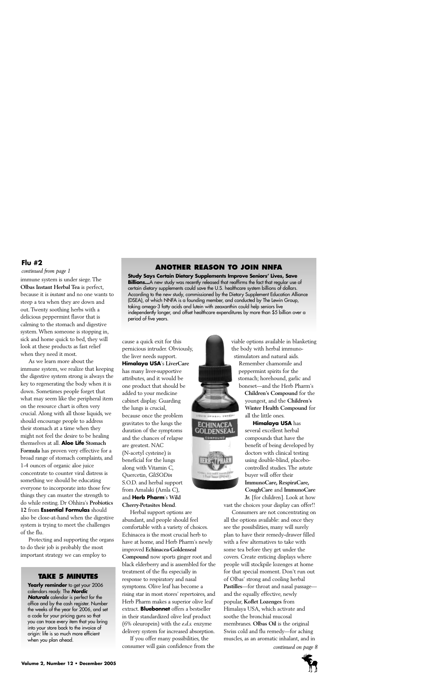#### **Flu #2**

#### *continued from page 1*

immune system is under siege. The **Olbas Instant Herbal Tea** is perfect, because it is *instant* and no one wants to steep a tea when they are down and out. Twenty soothing herbs with a delicious peppermint flavor that is calming to the stomach and digestive system. When someone is stopping in, sick and home quick to bed, they will look at these products as fast relief when they need it most.

As we learn more about the immune system, we realize that keeping the digestive system strong is always the key to regenerating the body when it is down. Sometimes people forget that what may seem like the peripheral item on the resource chart is often very crucial. Along with all those liquids, we should encourage people to address their stomach at a time when they might not feel the desire to be healing themselves at all. **Aloe Life Stomach Formula** has proven very effective for a broad range of stomach complaints, and 1-4 ounces of organic aloe juice concentrate to counter viral distress is something we should be educating everyone to incorporate into those few things they can muster the strength to do while resting. Dr Ohhira's **Probiotics 12** from **Essential Formulas** should also be close-at-hand when the digestive system is trying to meet the challenges of the flu.

Protecting and supporting the organs to do their job is probably the most important strategy we can employ to

#### **TAKE 5 MINUTES**

Yearly reminder to get your 2006 calendars ready. The *Nordic Naturals* calendar is perfect for the office and by the cash register. Number the weeks of the year for 2006, and set a code for your pricing guns so that you can trace every item that you bring into your store back to the invoice of origin: life is so much more efficient when you plan ahead.

## **ANOTHER REASON TO JOIN NNFA**

**Study Says Certain Dietary Supplements Improve Seniors' Lives, Save** Billions...A new study was recently released that reaffirms the fact that regular use of certain dietary supplements could save the U.S. healthcare system billions of dollars. According to the new study, commissioned by the Dietary Supplement Education Alliance (DSEA), of which NNFA is a founding member, and conducted by The Lewin Group, taking omega-3 fatty acids and lutein with zeaxanthin could help seniors live independently longer, and offset healthcare expenditures by more than \$5 billion over a period of five years.

> **GUID HOMEAL VETER** ECHINACEA DENSEA

> > **AL DIETARY SAYS**<br>I Floor Owner (1980)

cause a quick exit for this pernicious intruder. Obviously, the liver needs support. **Himalaya USA**'s **LiverCare** has many liver-supportive attributes, and it would be one product that should be added to your medicine cabinet display. Guarding the lungs is crucial, because once the problem gravitates to the lungs the duration of the symptoms and the chances of relapse are greatest. NAC (N-acetyl cysteine) is beneficial for the lungs along with Vitamin C, Quercetin, *GliSODin* S.O.D. and herbal support from Amalaki (Amla C), and **Herb Pharm**'s **Wild Cherry-Petasites blend**.

Herbal support options are abundant, and people should feel comfortable with a variety of choices. Echinacea is the most crucial herb to have at home, and Herb Pharm's newly improved **Echinacea-Goldenseal Compound** now sports ginger root and black elderberry and is assembled for the treatment of the flu especially in response to respiratory and nasal symptoms. Olive leaf has become a rising star in most stores' repertoires, and Herb Pharm makes a superior olive leaf extract. **Bluebonnet** offers a bestseller in their standardized olive leaf product (6% oleuropein) with the *e.d.s.* enzyme delivery system for increased absorption.

If you offer many possibilities, the consumer will gain confidence from the viable options available in blanketing the body with herbal immunostimulators and natural aids.

Remember chamomile and peppermint spirits for the stomach; horehound, garlic and boneset—and the Herb Pharm's

> **Children's Compound** for the youngest, and the **Children's Winter Health Compound** for all the little ones.

> **Himalaya USA** has several excellent herbal compounds that have the benefit of being developed by doctors with clinical testing using double-blind, placebocontrolled studies. The astute buyer will offer their **ImmunoCare, RespiraCare, CoughCare** and **ImmunoCare Jr.** [for children]. Look at how

vast the choices your display can offer!!

Consumers are not concentrating on all the options available: and once they see the possibilities, many will surely plan to have their remedy-drawer filled with a few alternatives to take with some tea before they get under the covers. Create enticing displays where people will stockpile lozenges at home for that special moment. Don't run out of Olbas' strong and cooling herbal **Pastilles**—for throat and nasal passage and the equally effective, newly popular, **Koflet Lozenges** from Himalaya USA, which activate and soothe the bronchial mucosal membranes. **Olbas Oil** is the original Swiss cold and flu remedy—for aching muscles, as an aromatic inhalant, and in

*continued on page 8*